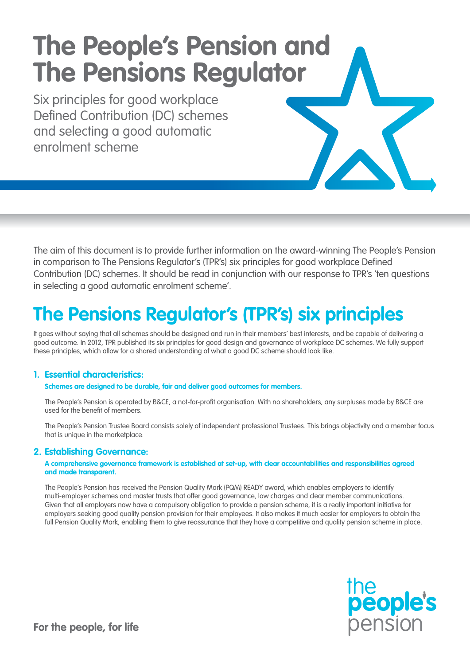# **The People's Pension and The Pensions Regulator**

Six principles for good workplace Defined Contribution (DC) schemes and selecting a good automatic enrolment scheme

The aim of this document is to provide further information on the award-winning The People's Pension in comparison to The Pensions Regulator's (TPR's) six principles for good workplace Defined Contribution (DC) schemes. It should be read in conjunction with our response to TPR's 'ten questions in selecting a good automatic enrolment scheme'.

## **The Pensions Regulator's (TPR's) six principles**

It goes without saying that all schemes should be designed and run in their members' best interests, and be capable of delivering a good outcome. In 2012, TPR published its six principles for good design and governance of workplace DC schemes. We fully support these principles, which allow for a shared understanding of what a good DC scheme should look like.

#### **1. Essential characteristics:**

#### **Schemes are designed to be durable, fair and deliver good outcomes for members.**

The People's Pension is operated by B&CE, a not-for-profit organisation. With no shareholders, any surpluses made by B&CE are used for the benefit of members.

The People's Pension Trustee Board consists solely of independent professional Trustees. This brings objectivity and a member focus that is unique in the marketplace.

#### **2. Establishing Governance:**

#### **A comprehensive governance framework is established at set-up, with clear accountabilities and responsibilities agreed and made transparent.**

The People's Pension has received the Pension Quality Mark (PQM) READY award, which enables employers to identify multi-employer schemes and master trusts that offer good governance, low charges and clear member communications. Given that all employers now have a compulsory obligation to provide a pension scheme, it is a really important initiative for employers seeking good quality pension provision for their employees. It also makes it much easier for employers to obtain the full Pension Quality Mark, enabling them to give reassurance that they have a competitive and quality pension scheme in place.